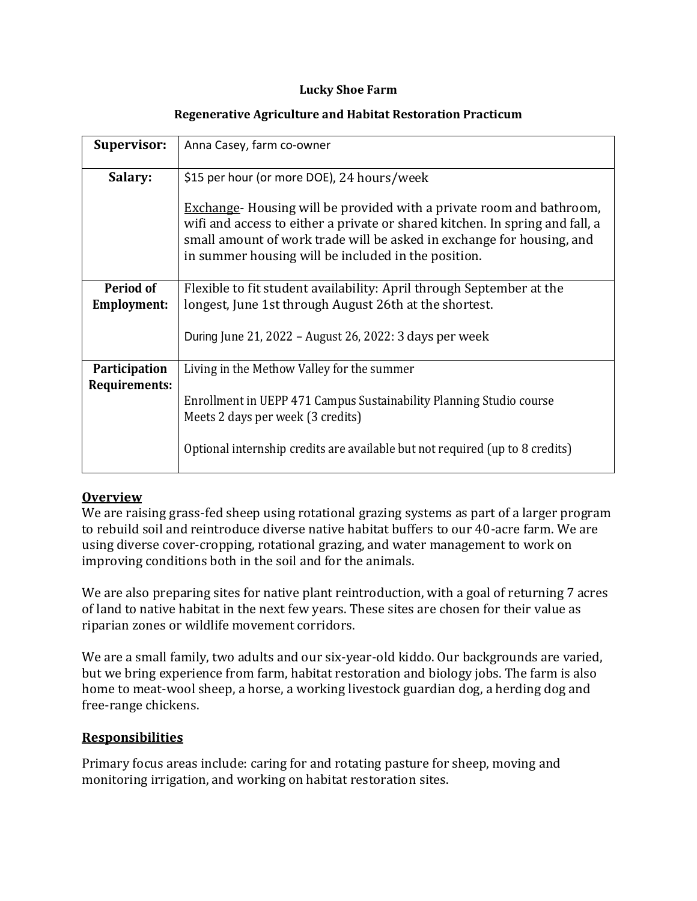#### **Lucky Shoe Farm**

| <b>Supervisor:</b>              | Anna Casey, farm co-owner                                                                                                                                                                                                                                                                  |
|---------------------------------|--------------------------------------------------------------------------------------------------------------------------------------------------------------------------------------------------------------------------------------------------------------------------------------------|
| Salary:                         | \$15 per hour (or more DOE), 24 hours/week                                                                                                                                                                                                                                                 |
|                                 | <b>Exchange</b> Housing will be provided with a private room and bathroom,<br>wifi and access to either a private or shared kitchen. In spring and fall, a<br>small amount of work trade will be asked in exchange for housing, and<br>in summer housing will be included in the position. |
| Period of<br><b>Employment:</b> | Flexible to fit student availability: April through September at the<br>longest, June 1st through August 26th at the shortest.                                                                                                                                                             |
|                                 | During June 21, 2022 – August 26, 2022: 3 days per week                                                                                                                                                                                                                                    |
| Participation<br>Requirements:  | Living in the Methow Valley for the summer                                                                                                                                                                                                                                                 |
|                                 | Enrollment in UEPP 471 Campus Sustainability Planning Studio course<br>Meets 2 days per week (3 credits)                                                                                                                                                                                   |
|                                 | Optional internship credits are available but not required (up to 8 credits)                                                                                                                                                                                                               |

### **Regenerative Agriculture and Habitat Restoration Practicum**

## **Overview**

We are raising grass-fed sheep using rotational grazing systems as part of a larger program to rebuild soil and reintroduce diverse native habitat buffers to our 40-acre farm. We are using diverse cover-cropping, rotational grazing, and water management to work on improving conditions both in the soil and for the animals.

We are also preparing sites for native plant reintroduction, with a goal of returning 7 acres of land to native habitat in the next few years. These sites are chosen for their value as riparian zones or wildlife movement corridors.

We are a small family, two adults and our six-year-old kiddo. Our backgrounds are varied, but we bring experience from farm, habitat restoration and biology jobs. The farm is also home to meat-wool sheep, a horse, a working livestock guardian dog, a herding dog and free-range chickens.

# **Responsibilities**

Primary focus areas include: caring for and rotating pasture for sheep, moving and monitoring irrigation, and working on habitat restoration sites.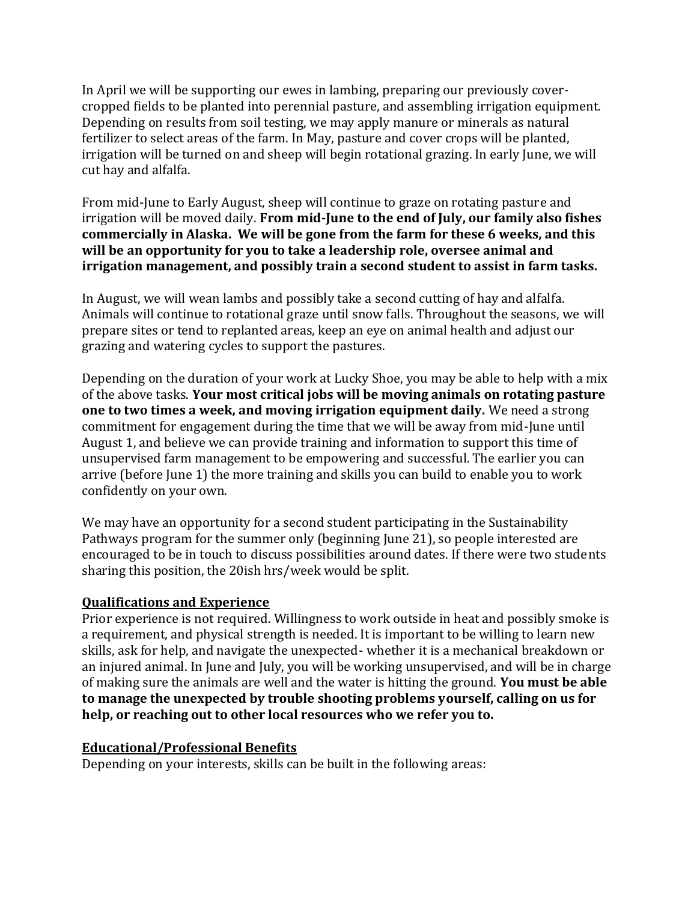In April we will be supporting our ewes in lambing, preparing our previously covercropped fields to be planted into perennial pasture, and assembling irrigation equipment. Depending on results from soil testing, we may apply manure or minerals as natural fertilizer to select areas of the farm. In May, pasture and cover crops will be planted, irrigation will be turned on and sheep will begin rotational grazing. In early June, we will cut hay and alfalfa.

From mid-June to Early August, sheep will continue to graze on rotating pasture and irrigation will be moved daily. **From mid-June to the end of July, our family also fishes commercially in Alaska. We will be gone from the farm for these 6 weeks, and this will be an opportunity for you to take a leadership role, oversee animal and irrigation management, and possibly train a second student to assist in farm tasks.**

In August, we will wean lambs and possibly take a second cutting of hay and alfalfa. Animals will continue to rotational graze until snow falls. Throughout the seasons, we will prepare sites or tend to replanted areas, keep an eye on animal health and adjust our grazing and watering cycles to support the pastures.

Depending on the duration of your work at Lucky Shoe, you may be able to help with a mix of the above tasks. **Your most critical jobs will be moving animals on rotating pasture one to two times a week, and moving irrigation equipment daily.** We need a strong commitment for engagement during the time that we will be away from mid-June until August 1, and believe we can provide training and information to support this time of unsupervised farm management to be empowering and successful. The earlier you can arrive (before June 1) the more training and skills you can build to enable you to work confidently on your own.

We may have an opportunity for a second student participating in the Sustainability Pathways program for the summer only (beginning June 21), so people interested are encouraged to be in touch to discuss possibilities around dates. If there were two students sharing this position, the 20ish hrs/week would be split.

## **Qualifications and Experience**

Prior experience is not required. Willingness to work outside in heat and possibly smoke is a requirement, and physical strength is needed. It is important to be willing to learn new skills, ask for help, and navigate the unexpected- whether it is a mechanical breakdown or an injured animal. In June and July, you will be working unsupervised, and will be in charge of making sure the animals are well and the water is hitting the ground. **You must be able to manage the unexpected by trouble shooting problems yourself, calling on us for help, or reaching out to other local resources who we refer you to.**

## **Educational/Professional Benefits**

Depending on your interests, skills can be built in the following areas: